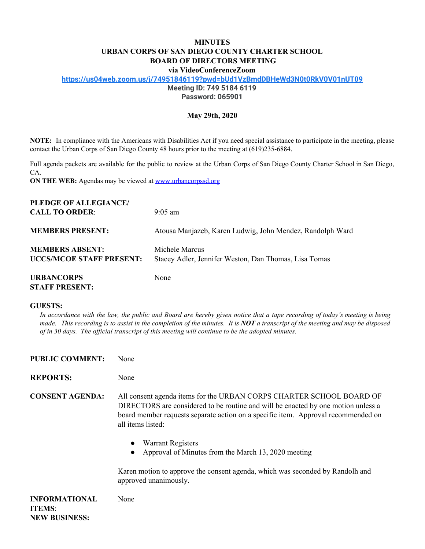## **MINUTES URBAN CORPS OF SAN DIEGO COUNTY CHARTER SCHOOL BOARD OF DIRECTORS MEETING**

**via VideoConferenceZoom**

**<https://us04web.zoom.us/j/74951846119?pwd=bUd1VzBmdDBHeWd3N0t0RkV0V01nUT09>**

**Meeting ID: 749 5184 6119**

**Password: 065901**

### **May 29th, 2020**

**NOTE:** In compliance with the Americans with Disabilities Act if you need special assistance to participate in the meeting, please contact the Urban Corps of San Diego County 48 hours prior to the meeting at (619)235-6884.

Full agenda packets are available for the public to review at the Urban Corps of San Diego County Charter School in San Diego, CA.

**ON THE WEB:** Agendas may be viewed at [www.urbancorpssd.org](http://www.urbancorpssd.org/)

| PLEDGE OF ALLEGIANCE/                                     |                                                                         |
|-----------------------------------------------------------|-------------------------------------------------------------------------|
| <b>CALL TO ORDER:</b>                                     | $9:05$ am                                                               |
| <b>MEMBERS PRESENT:</b>                                   | Atousa Manjazeb, Karen Ludwig, John Mendez, Randolph Ward               |
| <b>MEMBERS ABSENT:</b><br><b>UCCS/MCOE STAFF PRESENT:</b> | Michele Marcus<br>Stacey Adler, Jennifer Weston, Dan Thomas, Lisa Tomas |
| <b>URBANCORPS</b>                                         | None                                                                    |

# **STAFF PRESENT:**

**NEW BUSINESS:**

### **GUESTS:**

In accordance with the law, the public and Board are hereby given notice that a tape recording of today's meeting is being made. This recording is to assist in the completion of the minutes. It is  $NOT$  a transcript of the meeting and may be disposed *of in 30 days. The of icial transcript of this meeting will continue to be the adopted minutes.*

| <b>PUBLIC COMMENT:</b>                | None                                                                                                                                                                                                                                                                                                                                                   |
|---------------------------------------|--------------------------------------------------------------------------------------------------------------------------------------------------------------------------------------------------------------------------------------------------------------------------------------------------------------------------------------------------------|
| <b>REPORTS:</b>                       | None                                                                                                                                                                                                                                                                                                                                                   |
| <b>CONSENT AGENDA:</b>                | All consent agenda items for the URBAN CORPS CHARTER SCHOOL BOARD OF<br>DIRECTORS are considered to be routine and will be enacted by one motion unless a<br>board member requests separate action on a specific item. Approval recommended on<br>all items listed:<br><b>Warrant Registers</b><br>Approval of Minutes from the March 13, 2020 meeting |
|                                       | Karen motion to approve the consent agenda, which was seconded by Randolh and<br>approved unanimously.                                                                                                                                                                                                                                                 |
| <b>INFORMATIONAL</b><br><b>ITEMS:</b> | None                                                                                                                                                                                                                                                                                                                                                   |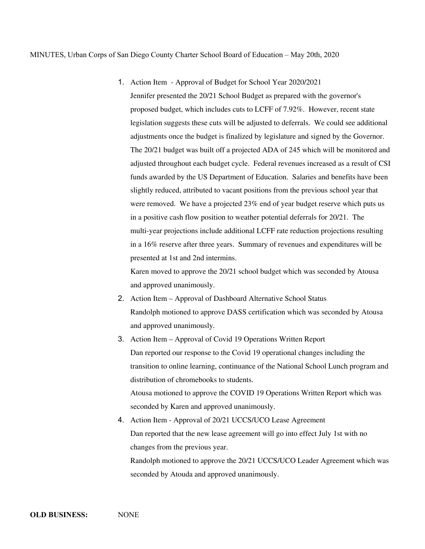### MINUTES, Urban Corps of San Diego County Charter School Board of Education – May 20th, 2020

1. Action Item - Approval of Budget for School Year 2020/2021 Jennifer presented the 20/21 School Budget as prepared with the governor's proposed budget, which includes cuts to LCFF of 7.92%. However, recent state legislation suggests these cuts will be adjusted to deferrals. We could see additional adjustments once the budget is finalized by legislature and signed by the Governor. The 20/21 budget was built off a projected ADA of 245 which will be monitored and adjusted throughout each budget cycle. Federal revenues increased as a result of CSI funds awarded by the US Department of Education. Salaries and benefits have been slightly reduced, attributed to vacant positions from the previous school year that were removed. We have a projected 23% end of year budget reserve which puts us in a positive cash flow position to weather potential deferrals for 20/21. The multi-year projections include additional LCFF rate reduction projections resulting in a 16% reserve after three years. Summary of revenues and expenditures will be presented at 1st and 2nd intermins.

Karen moved to approve the 20/21 school budget which was seconded by Atousa and approved unanimously.

- 2. Action Item Approval of Dashboard Alternative School Status Randolph motioned to approve DASS certification which was seconded by Atousa and approved unanimously.
- 3. Action Item Approval of Covid 19 Operations Written Report Dan reported our response to the Covid 19 operational changes including the transition to online learning, continuance of the National School Lunch program and distribution of chromebooks to students. Atousa motioned to approve the COVID 19 Operations Written Report which was

seconded by Karen and approved unanimously.

4. Action Item - Approval of 20/21 UCCS/UCO Lease Agreement Dan reported that the new lease agreement will go into effect July 1st with no changes from the previous year. Randolph motioned to approve the 20/21 UCCS/UCO Leader Agreement which was seconded by Atouda and approved unanimously.